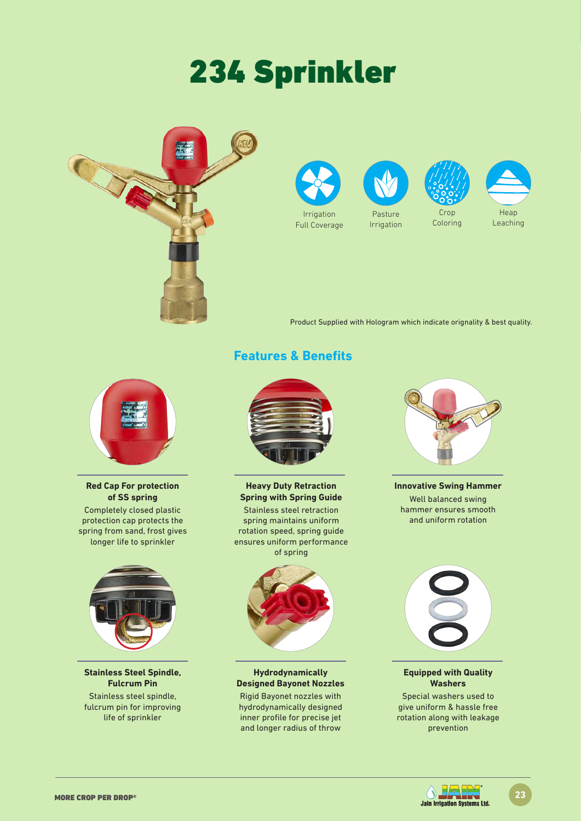**Red Cap For protection of SS spring** Completely closed plastic protection cap protects the spring from sand, frost gives longer life to sprinkler

**Stainless Steel Spindle, Fulcrum Pin** Stainless steel spindle, fulcrum pin for improving life of sprinkler

# 234 Sprinkler





**Heavy Duty Retraction Spring with Spring Guide**  Stainless steel retraction

spring maintains uniform rotation speed, spring guide ensures uniform performance of spring

**Hydrodynamically Designed Bayonet Nozzles** Rigid Bayonet nozzles with hydrodynamically designed inner profile for precise jet and longer radius of throw





Irrigation Full Coverage



Irrigation







**Innovative Swing Hammer** Well balanced swing hammer ensures smooth and uniform rotation



#### **Equipped with Quality Washers**

Special washers used to give uniform & hassle free rotation along with leakage prevention